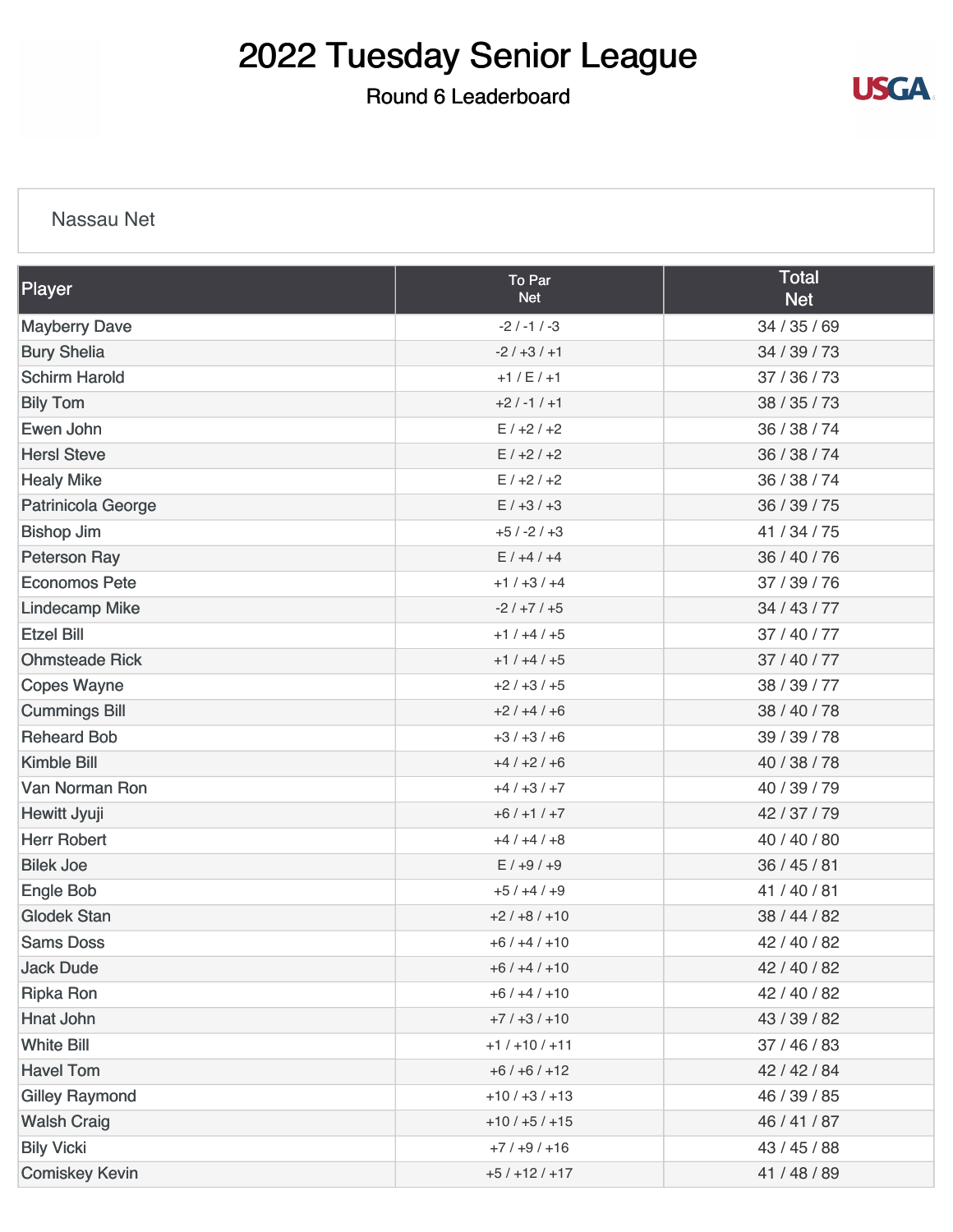### Round 6 Leaderboard



#### Nassau Net

| Player                | To Par<br><b>Net</b> | <b>Total</b><br><b>Net</b> |
|-----------------------|----------------------|----------------------------|
| <b>Mayberry Dave</b>  | $-2$ / $-1$ / $-3$   | 34 / 35 / 69               |
| <b>Bury Shelia</b>    | $-2/+3/+1$           | 34 / 39 / 73               |
| <b>Schirm Harold</b>  | $+1 / E / +1$        | 37 / 36 / 73               |
| <b>Bily Tom</b>       | $+2/ -1/ +1$         | 38 / 35 / 73               |
| Ewen John             | $E/+2/+2$            | 36 / 38 / 74               |
| <b>HersI</b> Steve    | $E/+2/+2$            | 36 / 38 / 74               |
| <b>Healy Mike</b>     | $E/+2/+2$            | 36 / 38 / 74               |
| Patrinicola George    | $E/ +3/ +3$          | 36 / 39 / 75               |
| <b>Bishop Jim</b>     | $+5/ -2/ +3$         | 41 / 34 / 75               |
| <b>Peterson Ray</b>   | $E/ +4/ +4$          | 36 / 40 / 76               |
| <b>Economos Pete</b>  | $+1/+3/+4$           | 37 / 39 / 76               |
| <b>Lindecamp Mike</b> | $-2/+7/+5$           | 34 / 43 / 77               |
| <b>Etzel Bill</b>     | $+1/+4/+5$           | 37 / 40 / 77               |
| <b>Ohmsteade Rick</b> | $+1/+4/+5$           | 37/40/77                   |
| <b>Copes Wayne</b>    | $+2/+3/+5$           | 38 / 39 / 77               |
| <b>Cummings Bill</b>  | $+2/+4/+6$           | 38 / 40 / 78               |
| <b>Reheard Bob</b>    | $+3/+3/+6$           | 39 / 39 / 78               |
| <b>Kimble Bill</b>    | $+4/+2/+6$           | 40 / 38 / 78               |
| Van Norman Ron        | $+4/+3/+7$           | 40 / 39 / 79               |
| Hewitt Jyuji          | $+6/+1/+7$           | 42/37/79                   |
| <b>Herr Robert</b>    | $+4/+4/+8$           | 40 / 40 / 80               |
| <b>Bilek Joe</b>      | $E/ +9/ +9$          | 36/45/81                   |
| Engle Bob             | $+5/+4/+9$           | 41/40/81                   |
| <b>Glodek Stan</b>    | $+2/+8/+10$          | 38 / 44 / 82               |
| <b>Sams Doss</b>      | $+6/+4/+10$          | 42 / 40 / 82               |
| <b>Jack Dude</b>      | $+6/+4/+10$          | 42 / 40 / 82               |
| <b>Ripka Ron</b>      | $+6/+4/+10$          | 42 / 40 / 82               |
| Hnat John             | $+7/+3/+10$          | 43 / 39 / 82               |
| <b>White Bill</b>     | $+1/+10/+11$         | 37 / 46 / 83               |
| <b>Havel Tom</b>      | $+6/+6/+12$          | 42 / 42 / 84               |
| <b>Gilley Raymond</b> | $+10/ +3/ +13$       | 46 / 39 / 85               |
| <b>Walsh Craig</b>    | $+10/ +5/ +15$       | 46 / 41 / 87               |
| <b>Bily Vicki</b>     | $+7/+9/+16$          | 43 / 45 / 88               |
| <b>Comiskey Kevin</b> | $+5/+12/+17$         | 41 / 48 / 89               |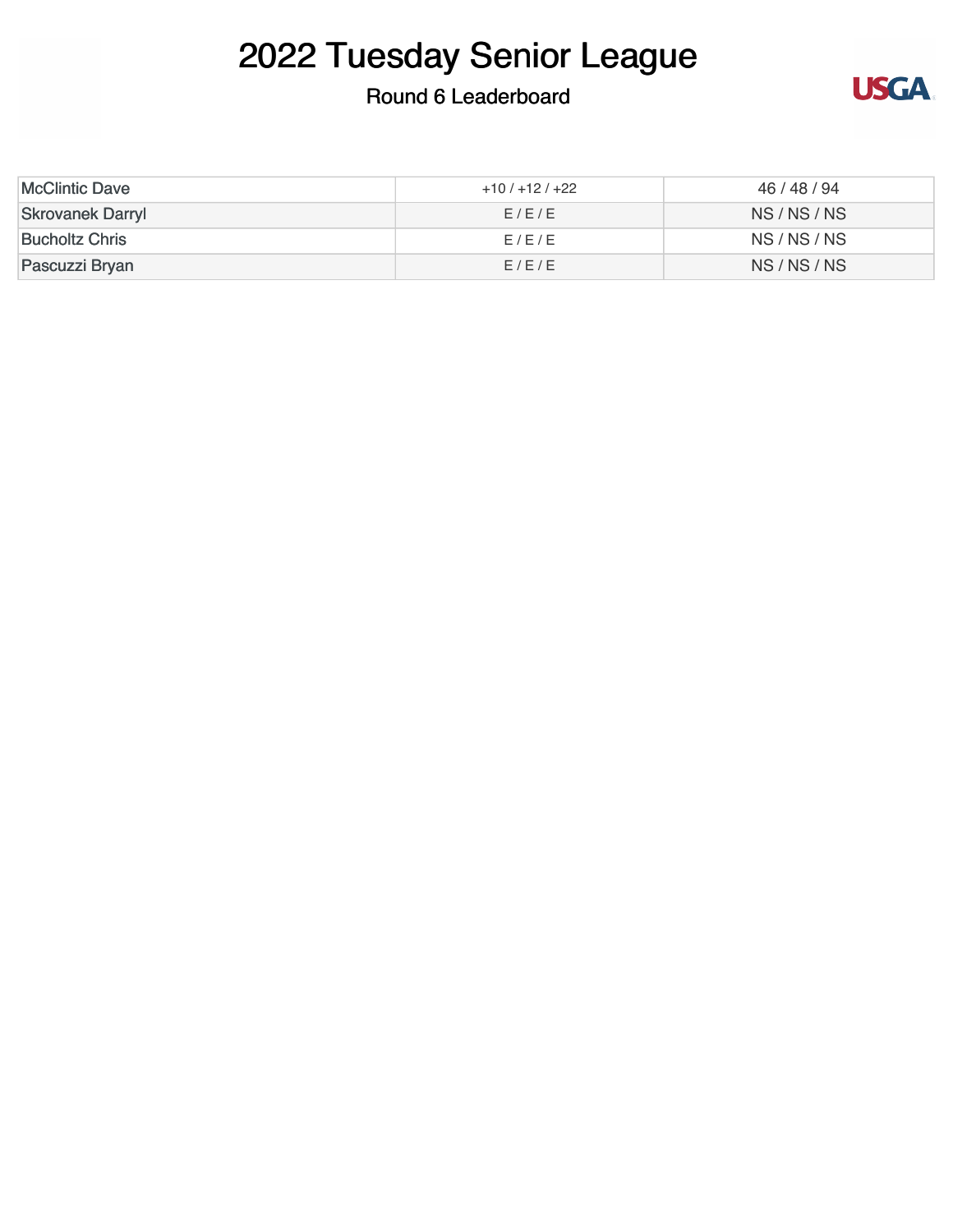### Round 6 Leaderboard



| <b>McClintic Dave</b>   | $+10/+12/+22$ | 46 / 48 / 94 |  |
|-------------------------|---------------|--------------|--|
| <b>Skrovanek Darryl</b> | E/E/E         | NS/NS/NS     |  |
| <b>Bucholtz Chris</b>   | F/F/F         | NS/NS/NS     |  |
| Pascuzzi Bryan          | E/E/E         | NS/NS/NS     |  |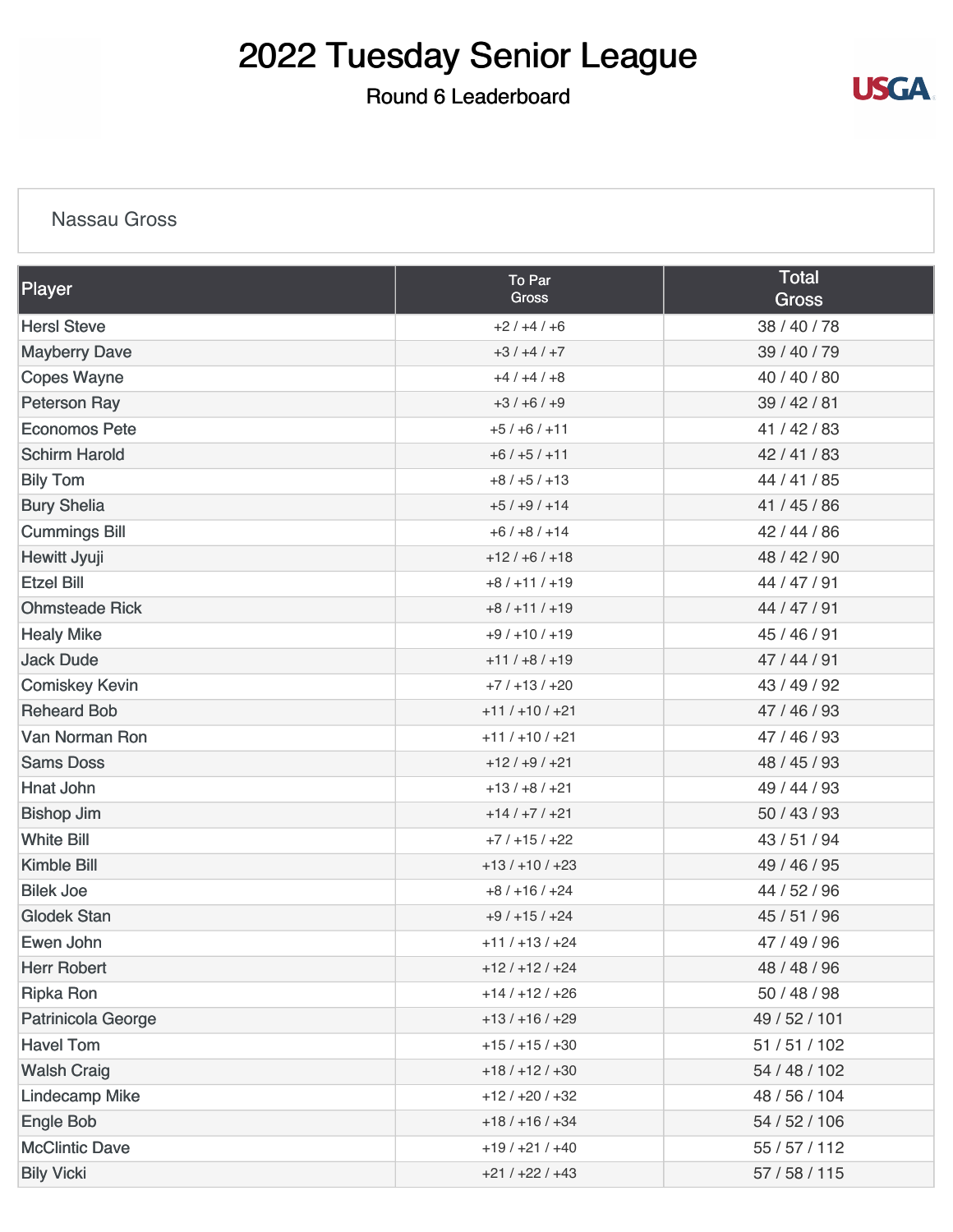### Round 6 Leaderboard



#### **Nassau Gross**

| Player                | To Par<br><b>Gross</b> | <b>Total</b><br><b>Gross</b> |
|-----------------------|------------------------|------------------------------|
| <b>Hersl Steve</b>    | $+2/+4/+6$             | 38 / 40 / 78                 |
| <b>Mayberry Dave</b>  | $+3/+4/+7$             | 39 / 40 / 79                 |
| <b>Copes Wayne</b>    | $+4/+4/+8$             | 40 / 40 / 80                 |
| <b>Peterson Ray</b>   | $+3/+6/+9$             | 39 / 42 / 81                 |
| <b>Economos Pete</b>  | $+5/+6/+11$            | 41 / 42 / 83                 |
| <b>Schirm Harold</b>  | $+6/+5/+11$            | 42/41/83                     |
| <b>Bily Tom</b>       | $+8/+5/+13$            | 44 / 41 / 85                 |
| <b>Bury Shelia</b>    | $+5/+9/+14$            | 41 / 45 / 86                 |
| <b>Cummings Bill</b>  | $+6/+8/+14$            | 42 / 44 / 86                 |
| Hewitt Jyuji          | $+12/ +6/ +18$         | 48 / 42 / 90                 |
| <b>Etzel Bill</b>     | $+8/+11/+19$           | 44 / 47 / 91                 |
| <b>Ohmsteade Rick</b> | $+8/+11/+19$           | 44 / 47 / 91                 |
| <b>Healy Mike</b>     | $+9/+10/+19$           | 45 / 46 / 91                 |
| <b>Jack Dude</b>      | $+11/+8/+19$           | 47/44/91                     |
| <b>Comiskey Kevin</b> | $+7/+13/+20$           | 43 / 49 / 92                 |
| <b>Reheard Bob</b>    | $+11/+10/+21$          | 47 / 46 / 93                 |
| Van Norman Ron        | $+11/+10/+21$          | 47 / 46 / 93                 |
| <b>Sams Doss</b>      | $+12/ +9/ +21$         | 48 / 45 / 93                 |
| <b>Hnat John</b>      | $+13/ +8/ +21$         | 49 / 44 / 93                 |
| <b>Bishop Jim</b>     | $+14/+7/+21$           | 50 / 43 / 93                 |
| <b>White Bill</b>     | $+7/+15/+22$           | 43 / 51 / 94                 |
| <b>Kimble Bill</b>    | $+13/+10/+23$          | 49 / 46 / 95                 |
| <b>Bilek Joe</b>      | $+8/+16/+24$           | 44 / 52 / 96                 |
| <b>Glodek Stan</b>    | $+9/+15/+24$           | 45 / 51 / 96                 |
| Ewen John             | $+11/+13/+24$          | 47 / 49 / 96                 |
| <b>Herr Robert</b>    | $+12/+12/+24$          | 48 / 48 / 96                 |
| <b>Ripka Ron</b>      | $+14/+12/+26$          | 50 / 48 / 98                 |
| Patrinicola George    | $+13/+16/+29$          | 49 / 52 / 101                |
| <b>Havel Tom</b>      | $+15/+15/+30$          | 51 / 51 / 102                |
| <b>Walsh Craig</b>    | $+18/+12/+30$          | 54 / 48 / 102                |
| <b>Lindecamp Mike</b> | $+12/+20/+32$          | 48 / 56 / 104                |
| <b>Engle Bob</b>      | $+18/+16/+34$          | 54 / 52 / 106                |
| <b>McClintic Dave</b> | $+19/+21/+40$          | 55 / 57 / 112                |
| <b>Bily Vicki</b>     | $+21/+22/+43$          | 57 / 58 / 115                |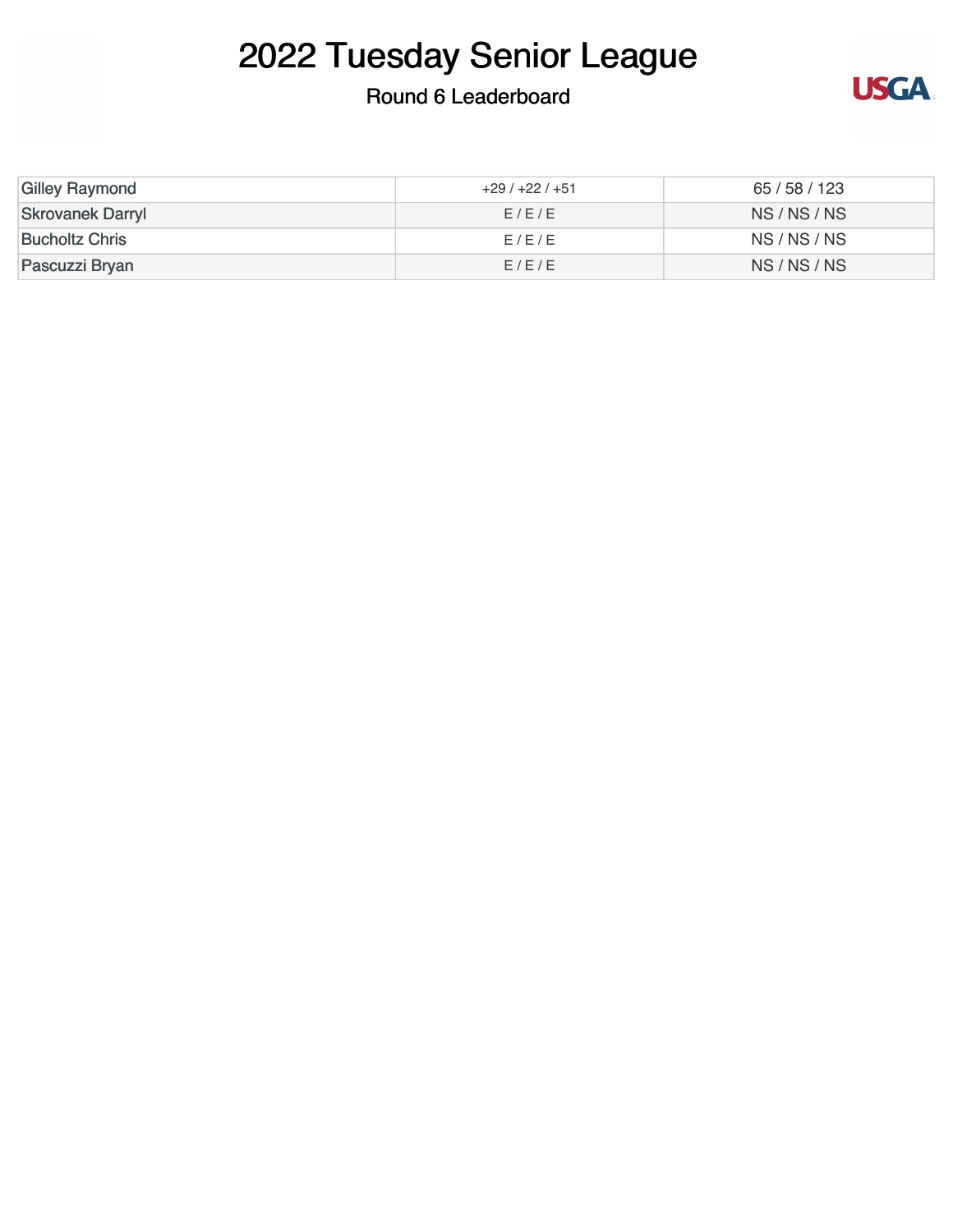### Round 6 Leaderboard



| <b>Gilley Raymond</b>   | $+29/+22/+51$ | 65/58/123 |
|-------------------------|---------------|-----------|
| <b>Skrovanek Darryl</b> | E/E/E         | NS/NS/NS  |
| <b>Bucholtz Chris</b>   | E/E/E         | NS/NS/NS  |
| Pascuzzi Bryan          | E/E/E         | NS/NS/NS  |